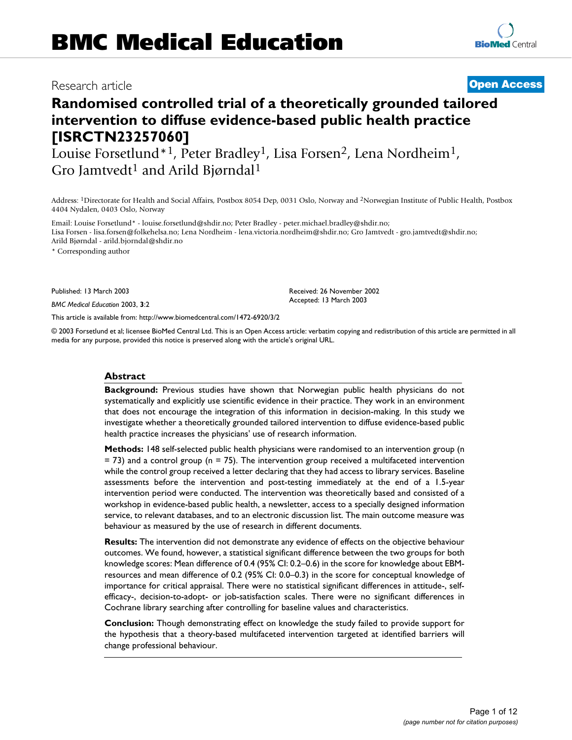# Research article **[Open Access](http://www.biomedcentral.com/info/about/charter/) Randomised controlled trial of a theoretically grounded tailored intervention to diffuse evidence-based public health practice**

Received: 26 November 2002 Accepted: 13 March 2003

**[ISRCTN23257060]** Louise Forsetlund<sup>\*1</sup>, Peter Bradley<sup>1</sup>, Lisa Forsen<sup>2</sup>, Lena Nordheim<sup>1</sup>, Gro Jamtvedt<sup>1</sup> and Arild Bjørndal<sup>1</sup>

Address: 1Directorate for Health and Social Affairs, Postbox 8054 Dep, 0031 Oslo, Norway and 2Norwegian Institute of Public Health, Postbox 4404 Nydalen, 0403 Oslo, Norway

Email: Louise Forsetlund\* - louise.forsetlund@shdir.no; Peter Bradley - peter.michael.bradley@shdir.no; Lisa Forsen - lisa.forsen@folkehelsa.no; Lena Nordheim - lena.victoria.nordheim@shdir.no; Gro Jamtvedt - gro.jamtvedt@shdir.no; Arild Bjørndal - arild.bjorndal@shdir.no

\* Corresponding author

Published: 13 March 2003

*BMC Medical Education* 2003, **3**:2

[This article is available from: http://www.biomedcentral.com/1472-6920/3/2](http://www.biomedcentral.com/1472-6920/3/2)

© 2003 Forsetlund et al; licensee BioMed Central Ltd. This is an Open Access article: verbatim copying and redistribution of this article are permitted in all media for any purpose, provided this notice is preserved along with the article's original URL.

#### **Abstract**

**Background:** Previous studies have shown that Norwegian public health physicians do not systematically and explicitly use scientific evidence in their practice. They work in an environment that does not encourage the integration of this information in decision-making. In this study we investigate whether a theoretically grounded tailored intervention to diffuse evidence-based public health practice increases the physicians' use of research information.

**Methods:** 148 self-selected public health physicians were randomised to an intervention group (n  $=$  73) and a control group (n  $=$  75). The intervention group received a multifaceted intervention while the control group received a letter declaring that they had access to library services. Baseline assessments before the intervention and post-testing immediately at the end of a 1.5-year intervention period were conducted. The intervention was theoretically based and consisted of a workshop in evidence-based public health, a newsletter, access to a specially designed information service, to relevant databases, and to an electronic discussion list. The main outcome measure was behaviour as measured by the use of research in different documents.

**Results:** The intervention did not demonstrate any evidence of effects on the objective behaviour outcomes. We found, however, a statistical significant difference between the two groups for both knowledge scores: Mean difference of 0.4 (95% CI: 0.2–0.6) in the score for knowledge about EBMresources and mean difference of 0.2 (95% CI: 0.0–0.3) in the score for conceptual knowledge of importance for critical appraisal. There were no statistical significant differences in attitude-, selfefficacy-, decision-to-adopt- or job-satisfaction scales. There were no significant differences in Cochrane library searching after controlling for baseline values and characteristics.

**Conclusion:** Though demonstrating effect on knowledge the study failed to provide support for the hypothesis that a theory-based multifaceted intervention targeted at identified barriers will change professional behaviour.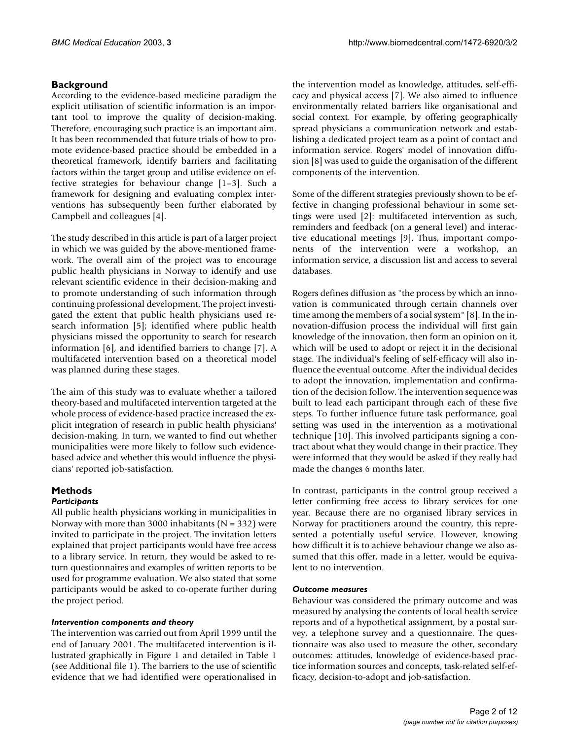### **Background**

According to the evidence-based medicine paradigm the explicit utilisation of scientific information is an important tool to improve the quality of decision-making. Therefore, encouraging such practice is an important aim. It has been recommended that future trials of how to promote evidence-based practice should be embedded in a theoretical framework, identify barriers and facilitating factors within the target group and utilise evidence on effective strategies for behaviour change [1–3]. Such a framework for designing and evaluating complex interventions has subsequently been further elaborated by Campbell and colleagues [4].

The study described in this article is part of a larger project in which we was guided by the above-mentioned framework. The overall aim of the project was to encourage public health physicians in Norway to identify and use relevant scientific evidence in their decision-making and to promote understanding of such information through continuing professional development. The project investigated the extent that public health physicians used research information [5]; identified where public health physicians missed the opportunity to search for research information [6], and identified barriers to change [7]. A multifaceted intervention based on a theoretical model was planned during these stages.

The aim of this study was to evaluate whether a tailored theory-based and multifaceted intervention targeted at the whole process of evidence-based practice increased the explicit integration of research in public health physicians' decision-making. In turn, we wanted to find out whether municipalities were more likely to follow such evidencebased advice and whether this would influence the physicians' reported job-satisfaction.

## **Methods**

### *Participants*

All public health physicians working in municipalities in Norway with more than 3000 inhabitants ( $N = 332$ ) were invited to participate in the project. The invitation letters explained that project participants would have free access to a library service. In return, they would be asked to return questionnaires and examples of written reports to be used for programme evaluation. We also stated that some participants would be asked to co-operate further during the project period.

### *Intervention components and theory*

The intervention was carried out from April 1999 until the end of January 2001. The multifaceted intervention is illustrated graphically in Figure [1](#page-2-0) and detailed in Table 1 (see Additional file 1). The barriers to the use of scientific evidence that we had identified were operationalised in the intervention model as knowledge, attitudes, self-efficacy and physical access [7]. We also aimed to influence environmentally related barriers like organisational and social context. For example, by offering geographically spread physicians a communication network and establishing a dedicated project team as a point of contact and information service. Rogers' model of innovation diffusion [8] was used to guide the organisation of the different components of the intervention.

Some of the different strategies previously shown to be effective in changing professional behaviour in some settings were used [2]: multifaceted intervention as such, reminders and feedback (on a general level) and interactive educational meetings [9]. Thus, important components of the intervention were a workshop, an information service, a discussion list and access to several databases.

Rogers defines diffusion as "the process by which an innovation is communicated through certain channels over time among the members of a social system" [8]. In the innovation-diffusion process the individual will first gain knowledge of the innovation, then form an opinion on it, which will be used to adopt or reject it in the decisional stage. The individual's feeling of self-efficacy will also influence the eventual outcome. After the individual decides to adopt the innovation, implementation and confirmation of the decision follow. The intervention sequence was built to lead each participant through each of these five steps. To further influence future task performance, goal setting was used in the intervention as a motivational technique [10]. This involved participants signing a contract about what they would change in their practice. They were informed that they would be asked if they really had made the changes 6 months later.

In contrast, participants in the control group received a letter confirming free access to library services for one year. Because there are no organised library services in Norway for practitioners around the country, this represented a potentially useful service. However, knowing how difficult it is to achieve behaviour change we also assumed that this offer, made in a letter, would be equivalent to no intervention.

### *Outcome measures*

Behaviour was considered the primary outcome and was measured by analysing the contents of local health service reports and of a hypothetical assignment, by a postal survey, a telephone survey and a questionnaire. The questionnaire was also used to measure the other, secondary outcomes: attitudes, knowledge of evidence-based practice information sources and concepts, task-related self-efficacy, decision-to-adopt and job-satisfaction.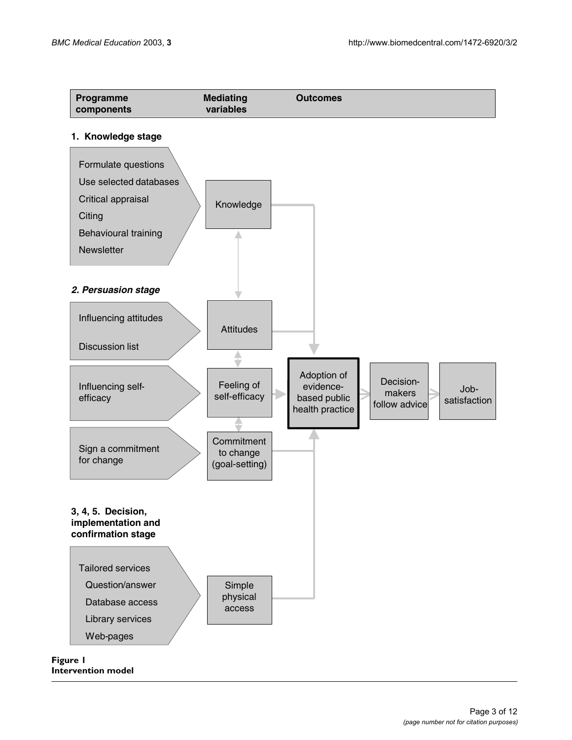<span id="page-2-0"></span>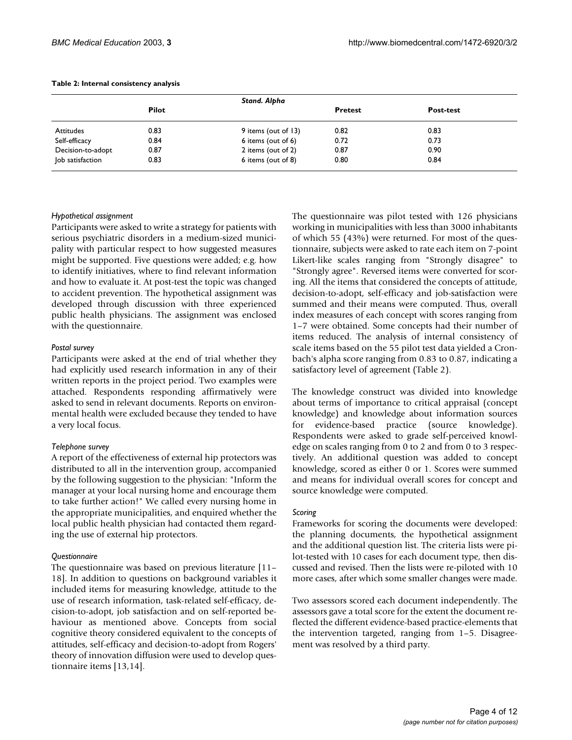|                   |       | Stand. Alpha        |                |           |
|-------------------|-------|---------------------|----------------|-----------|
|                   | Pilot |                     | <b>Pretest</b> | Post-test |
| <b>Attitudes</b>  | 0.83  | 9 items (out of 13) | 0.82           | 0.83      |
| Self-efficacy     | 0.84  | 6 items (out of 6)  | 0.72           | 0.73      |
| Decision-to-adopt | 0.87  | 2 items (out of 2)  | 0.87           | 0.90      |
| Job satisfaction  | 0.83  | 6 items (out of 8)  | 0.80           | 0.84      |

#### <span id="page-3-0"></span>**Table 2: Internal consistency analysis**

#### *Hypothetical assignment*

Participants were asked to write a strategy for patients with serious psychiatric disorders in a medium-sized municipality with particular respect to how suggested measures might be supported. Five questions were added; e.g. how to identify initiatives, where to find relevant information and how to evaluate it. At post-test the topic was changed to accident prevention. The hypothetical assignment was developed through discussion with three experienced public health physicians. The assignment was enclosed with the questionnaire.

#### *Postal survey*

Participants were asked at the end of trial whether they had explicitly used research information in any of their written reports in the project period. Two examples were attached. Respondents responding affirmatively were asked to send in relevant documents. Reports on environmental health were excluded because they tended to have a very local focus.

#### *Telephone survey*

A report of the effectiveness of external hip protectors was distributed to all in the intervention group, accompanied by the following suggestion to the physician: "Inform the manager at your local nursing home and encourage them to take further action!" We called every nursing home in the appropriate municipalities, and enquired whether the local public health physician had contacted them regarding the use of external hip protectors.

#### *Questionnaire*

The questionnaire was based on previous literature [11– 18]. In addition to questions on background variables it included items for measuring knowledge, attitude to the use of research information, task-related self-efficacy, decision-to-adopt, job satisfaction and on self-reported behaviour as mentioned above. Concepts from social cognitive theory considered equivalent to the concepts of attitudes, self-efficacy and decision-to-adopt from Rogers' theory of innovation diffusion were used to develop questionnaire items [13,14].

The questionnaire was pilot tested with 126 physicians working in municipalities with less than 3000 inhabitants of which 55 (43%) were returned. For most of the questionnaire, subjects were asked to rate each item on 7-point Likert-like scales ranging from "Strongly disagree" to "Strongly agree". Reversed items were converted for scoring. All the items that considered the concepts of attitude, decision-to-adopt, self-efficacy and job-satisfaction were summed and their means were computed. Thus, overall index measures of each concept with scores ranging from 1–7 were obtained. Some concepts had their number of items reduced. The analysis of internal consistency of scale items based on the 55 pilot test data yielded a Cronbach's alpha score ranging from 0.83 to 0.87, indicating a satisfactory level of agreement (Table [2\)](#page-3-0).

The knowledge construct was divided into knowledge about terms of importance to critical appraisal (concept knowledge) and knowledge about information sources for evidence-based practice (source knowledge). Respondents were asked to grade self-perceived knowledge on scales ranging from 0 to 2 and from 0 to 3 respectively. An additional question was added to concept knowledge, scored as either 0 or 1. Scores were summed and means for individual overall scores for concept and source knowledge were computed.

#### *Scoring*

Frameworks for scoring the documents were developed: the planning documents, the hypothetical assignment and the additional question list. The criteria lists were pilot-tested with 10 cases for each document type, then discussed and revised. Then the lists were re-piloted with 10 more cases, after which some smaller changes were made.

Two assessors scored each document independently. The assessors gave a total score for the extent the document reflected the different evidence-based practice-elements that the intervention targeted, ranging from 1–5. Disagreement was resolved by a third party.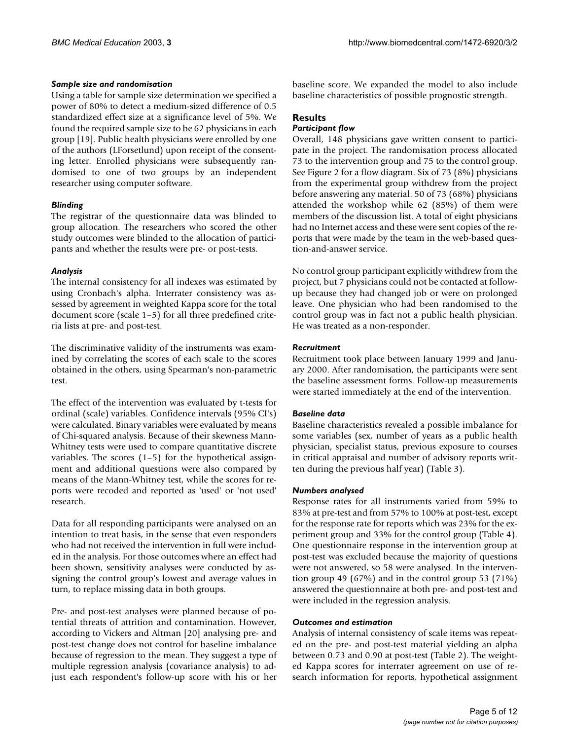### *Sample size and randomisation*

Using a table for sample size determination we specified a power of 80% to detect a medium-sized difference of 0.5 standardized effect size at a significance level of 5%. We found the required sample size to be 62 physicians in each group [19]. Public health physicians were enrolled by one of the authors (LForsetlund) upon receipt of the consenting letter. Enrolled physicians were subsequently randomised to one of two groups by an independent researcher using computer software.

### *Blinding*

The registrar of the questionnaire data was blinded to group allocation. The researchers who scored the other study outcomes were blinded to the allocation of participants and whether the results were pre- or post-tests.

### *Analysis*

The internal consistency for all indexes was estimated by using Cronbach's alpha. Interrater consistency was assessed by agreement in weighted Kappa score for the total document score (scale 1–5) for all three predefined criteria lists at pre- and post-test.

The discriminative validity of the instruments was examined by correlating the scores of each scale to the scores obtained in the others, using Spearman's non-parametric test.

The effect of the intervention was evaluated by t-tests for ordinal (scale) variables. Confidence intervals (95% CI's) were calculated. Binary variables were evaluated by means of Chi-squared analysis. Because of their skewness Mann-Whitney tests were used to compare quantitative discrete variables. The scores (1–5) for the hypothetical assignment and additional questions were also compared by means of the Mann-Whitney test, while the scores for reports were recoded and reported as 'used' or 'not used' research.

Data for all responding participants were analysed on an intention to treat basis, in the sense that even responders who had not received the intervention in full were included in the analysis. For those outcomes where an effect had been shown, sensitivity analyses were conducted by assigning the control group's lowest and average values in turn, to replace missing data in both groups.

Pre- and post-test analyses were planned because of potential threats of attrition and contamination. However, according to Vickers and Altman [20] analysing pre- and post-test change does not control for baseline imbalance because of regression to the mean. They suggest a type of multiple regression analysis (covariance analysis) to adjust each respondent's follow-up score with his or her baseline score. We expanded the model to also include baseline characteristics of possible prognostic strength.

### **Results**

### *Participant flow*

Overall, 148 physicians gave written consent to participate in the project. The randomisation process allocated 73 to the intervention group and 75 to the control group. See Figure [2](#page-5-0) for a flow diagram. Six of 73 (8%) physicians from the experimental group withdrew from the project before answering any material. 50 of 73 (68%) physicians attended the workshop while 62 (85%) of them were members of the discussion list. A total of eight physicians had no Internet access and these were sent copies of the reports that were made by the team in the web-based question-and-answer service.

No control group participant explicitly withdrew from the project, but 7 physicians could not be contacted at followup because they had changed job or were on prolonged leave. One physician who had been randomised to the control group was in fact not a public health physician. He was treated as a non-responder.

### *Recruitment*

Recruitment took place between January 1999 and January 2000. After randomisation, the participants were sent the baseline assessment forms. Follow-up measurements were started immediately at the end of the intervention.

### *Baseline data*

Baseline characteristics revealed a possible imbalance for some variables (sex, number of years as a public health physician, specialist status, previous exposure to courses in critical appraisal and number of advisory reports written during the previous half year) (Table [3](#page-6-0)).

#### *Numbers analysed*

Response rates for all instruments varied from 59% to 83% at pre-test and from 57% to 100% at post-test, except for the response rate for reports which was 23% for the experiment group and 33% for the control group (Table [4\)](#page-6-1). One questionnaire response in the intervention group at post-test was excluded because the majority of questions were not answered, so 58 were analysed. In the intervention group 49 (67%) and in the control group 53 (71%) answered the questionnaire at both pre- and post-test and were included in the regression analysis.

### *Outcomes and estimation*

Analysis of internal consistency of scale items was repeated on the pre- and post-test material yielding an alpha between 0.73 and 0.90 at post-test (Table [2\)](#page-3-0). The weighted Kappa scores for interrater agreement on use of research information for reports, hypothetical assignment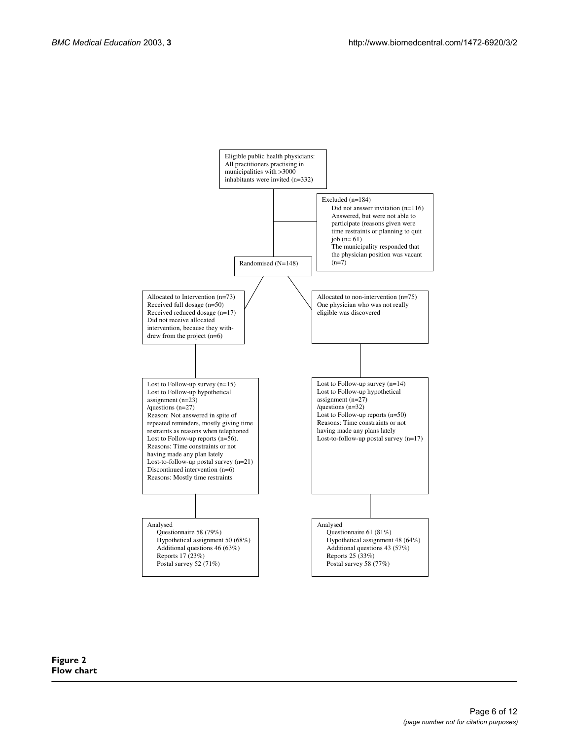<span id="page-5-0"></span>

**Figure 2 Flow chart**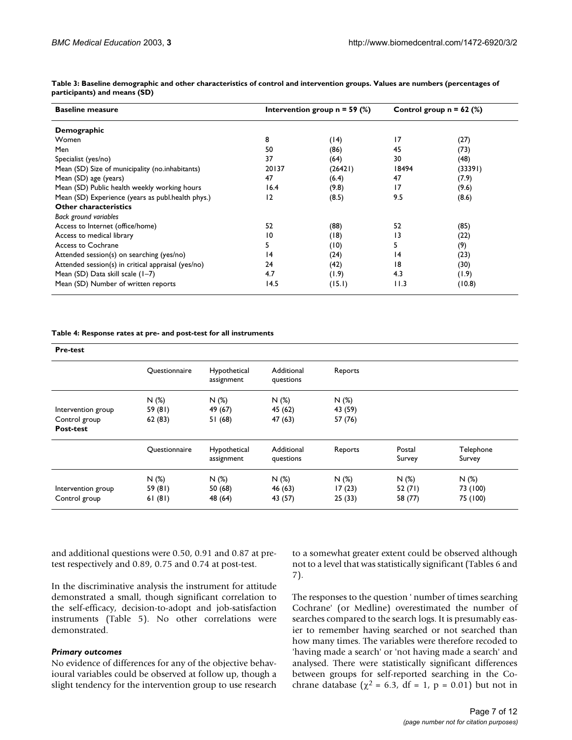| <b>Baseline measure</b>                            | Intervention group $n = 59$ (%) |         |       | Control group $n = 62$ (%) |
|----------------------------------------------------|---------------------------------|---------|-------|----------------------------|
| Demographic                                        |                                 |         |       |                            |
| Women                                              | 8                               | (14)    | 17    | (27)                       |
| Men                                                | 50                              | (86)    | 45    | (73)                       |
| Specialist (yes/no)                                | 37                              | (64)    | 30    | (48)                       |
| Mean (SD) Size of municipality (no.inhabitants)    | 20137                           | (26421) | 18494 | (33391)                    |
| Mean (SD) age (years)                              | 47                              | (6.4)   | 47    | (7.9)                      |
| Mean (SD) Public health weekly working hours       | 16.4                            | (9.8)   | 17    | (9.6)                      |
| Mean (SD) Experience (years as publ.health phys.)  | 12                              | (8.5)   | 9.5   | (8.6)                      |
| <b>Other characteristics</b>                       |                                 |         |       |                            |
| Back ground variables                              |                                 |         |       |                            |
| Access to Internet (office/home)                   | 52                              | (88)    | 52    | (85)                       |
| Access to medical library                          | $\overline{10}$                 | (18)    | 13    | (22)                       |
| Access to Cochrane                                 | 5                               | (10)    | 5     | (9)                        |
| Attended session(s) on searching (yes/no)          | $\overline{14}$                 | (24)    | 4     | (23)                       |
| Attended session(s) in critical appraisal (yes/no) | 24                              | (42)    | 18    | (30)                       |
| Mean (SD) Data skill scale $(1-7)$                 | 4.7                             | (1.9)   | 4.3   | (1.9)                      |
| Mean (SD) Number of written reports                | 14.5                            | (15.1)  | 11.3  | (10.8)                     |

<span id="page-6-0"></span>**Table 3: Baseline demographic and other characteristics of control and intervention groups. Values are numbers (percentages of participants) and means (SD)**

<span id="page-6-1"></span>**Table 4: Response rates at pre- and post-test for all instruments**

| <b>Pre-test</b>    |               |                            |                         |         |                  |                     |
|--------------------|---------------|----------------------------|-------------------------|---------|------------------|---------------------|
|                    | Questionnaire | Hypothetical<br>assignment | Additional<br>questions | Reports |                  |                     |
|                    | N(%)          | N(%)                       | N(%)                    | N(%)    |                  |                     |
| Intervention group | 59 (81)       | 49 (67)                    | 45 (62)                 | 43 (59) |                  |                     |
| Control group      | 62(83)        | 51(68)                     | 47(63)                  | 57 (76) |                  |                     |
| Post-test          |               |                            |                         |         |                  |                     |
|                    | Questionnaire | Hypothetical<br>assignment | Additional<br>questions | Reports | Postal<br>Survey | Telephone<br>Survey |
|                    | N(%)          | N(%)                       | N(%)                    | N(%)    | N(%)             | N(%)                |
| Intervention group | 59 (81)       | 50 (68)                    | 46 (63)                 | 17(23)  | 52(71)           | 73 (100)            |
| Control group      | 61(81)        | 48 (64)                    | 43 (57)                 | 25(33)  | 58 (77)          | 75 (100)            |

and additional questions were 0.50, 0.91 and 0.87 at pretest respectively and 0.89, 0.75 and 0.74 at post-test.

In the discriminative analysis the instrument for attitude demonstrated a small, though significant correlation to the self-efficacy, decision-to-adopt and job-satisfaction instruments (Table [5](#page-7-0)). No other correlations were demonstrated.

#### *Primary outcomes*

No evidence of differences for any of the objective behavioural variables could be observed at follow up, though a slight tendency for the intervention group to use research

to a somewhat greater extent could be observed although not to a level that was statistically significant (Tables [6](#page-7-1) and [7](#page-7-2)).

The responses to the question ' number of times searching Cochrane' (or Medline) overestimated the number of searches compared to the search logs. It is presumably easier to remember having searched or not searched than how many times. The variables were therefore recoded to 'having made a search' or 'not having made a search' and analysed. There were statistically significant differences between groups for self-reported searching in the Cochrane database ( $\chi^2$  = 6.3, df = 1, p = 0.01) but not in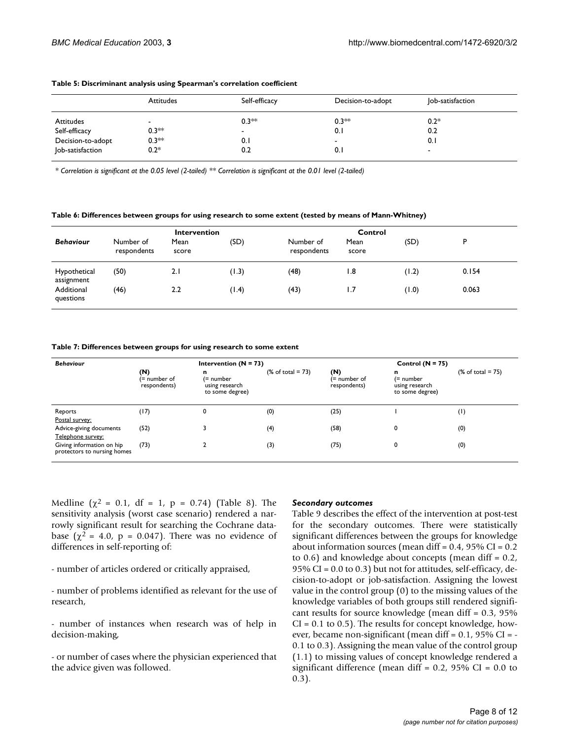|                                    | <b>Attitudes</b>                    | Self-efficacy | Decision-to-adopt | Job-satisfaction |
|------------------------------------|-------------------------------------|---------------|-------------------|------------------|
| Attitudes                          | $\overline{\phantom{0}}$<br>$0.3**$ | $0.3**$       | $0.3**$           | $0.2*$           |
| Self-efficacy<br>Decision-to-adopt | $0.3**$                             | -<br>0.1      | 0.1<br>$\sim$     | 0.2<br>0.1       |
| lob-satisfaction                   | $0.2*$                              | 0.2           | 0.1               | . .              |

#### <span id="page-7-0"></span>**Table 5: Discriminant analysis using Spearman's correlation coefficient**

*\* Correlation is significant at the 0.05 level (2-tailed) \*\* Correlation is significant at the 0.01 level (2-tailed)*

<span id="page-7-1"></span>**Table 6: Differences between groups for using research to some extent (tested by means of Mann-Whitney)**

|                            | <b>Intervention</b>      |               |       |                          |               |       |       |  |
|----------------------------|--------------------------|---------------|-------|--------------------------|---------------|-------|-------|--|
| <b>Behaviour</b>           | Number of<br>respondents | Mean<br>score | (SD)  | Number of<br>respondents | Mean<br>score | (SD)  | Þ     |  |
| Hypothetical<br>assignment | (50)                     | 2.1           | (1.3) | (48)                     | 8. ا          | (1.2) | 0.154 |  |
| Additional<br>questions    | (46)                     | 2.2           | (1.4) | (43)                     | 1.7           | (1.0) | 0.063 |  |

<span id="page-7-2"></span>**Table 7: Differences between groups for using research to some extent**

| <b>Behaviour</b>                                               |                                     | Intervention ( $N = 73$ )                           |                     |                                       | Control ( $N = 75$ )                                |                    |
|----------------------------------------------------------------|-------------------------------------|-----------------------------------------------------|---------------------|---------------------------------------|-----------------------------------------------------|--------------------|
|                                                                | (N)<br>(= number of<br>respondents) | n<br>(= number<br>using research<br>to some degree) | $% of total = 73$ ) | (N)<br>$(=$ number of<br>respondents) | n<br>(= number<br>using research<br>to some degree) | $%$ of total = 75) |
| Reports                                                        | (17)                                | 0                                                   | (0)                 | (25)                                  |                                                     | (1)                |
| Postal survey:<br>Advice-giving documents<br>Telephone survey: | (52)                                |                                                     | (4)                 | (58)                                  | 0                                                   | (0)                |
| Giving information on hip<br>protectors to nursing homes       | (73)                                |                                                     | (3)                 | (75)                                  | 0                                                   | (0)                |

Medline ( $χ² = 0.1$ , df = 1, p = 0.74) (Table [8\)](#page-8-0). The sensitivity analysis (worst case scenario) rendered a narrowly significant result for searching the Cochrane database ( $\chi^2$  = 4.0, p = 0.047). There was no evidence of differences in self-reporting of:

- number of articles ordered or critically appraised,

- number of problems identified as relevant for the use of research,

- number of instances when research was of help in decision-making,

- or number of cases where the physician experienced that the advice given was followed.

#### *Secondary outcomes*

Table [9](#page-8-1) describes the effect of the intervention at post-test for the secondary outcomes. There were statistically significant differences between the groups for knowledge about information sources (mean diff  $= 0.4$ , 95% CI  $= 0.2$ ) to  $0.6$ ) and knowledge about concepts (mean diff =  $0.2$ , 95% CI = 0.0 to 0.3) but not for attitudes, self-efficacy, decision-to-adopt or job-satisfaction. Assigning the lowest value in the control group (0) to the missing values of the knowledge variables of both groups still rendered significant results for source knowledge (mean diff = 0.3, 95%  $CI = 0.1$  to 0.5). The results for concept knowledge, however, became non-significant (mean diff =  $0.1$ ,  $95\%$  CI =  $-$ 0.1 to 0.3). Assigning the mean value of the control group (1.1) to missing values of concept knowledge rendered a significant difference (mean diff =  $0.2$ ,  $95\%$  CI =  $0.0$  to 0.3).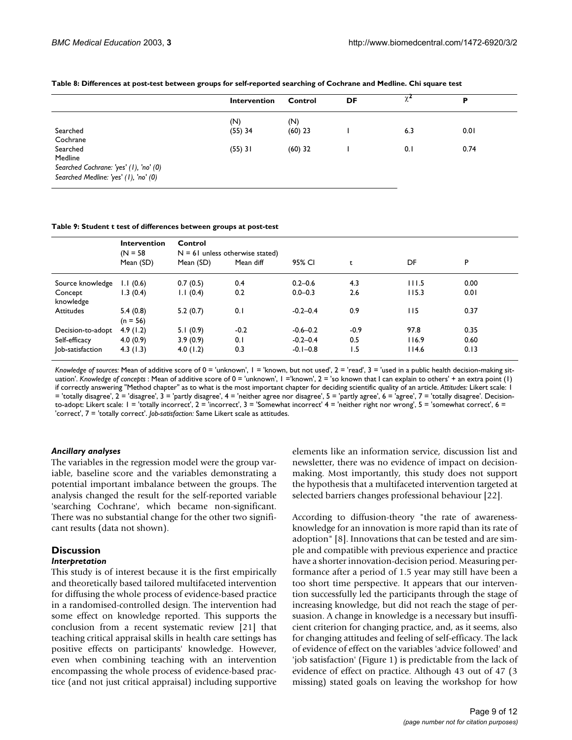|                                        | <b>Intervention</b> | Control   | DF |     | P    |
|----------------------------------------|---------------------|-----------|----|-----|------|
|                                        | (N)                 | (N)       |    |     |      |
| Searched                               | $(55)$ 34           | $(60)$ 23 |    | 6.3 | 0.01 |
| Cochrane                               |                     |           |    |     |      |
| Searched                               | $(55)$ 31           | $(60)$ 32 |    | 0.1 | 0.74 |
| Medline                                |                     |           |    |     |      |
| Searched Cochrane: 'yes' (1), 'no' (0) |                     |           |    |     |      |
| Searched Medline: 'yes' (1), 'no' (0)  |                     |           |    |     |      |

<span id="page-8-0"></span>**Table 8: Differences at post-test between groups for self-reported searching of Cochrane and Medline. Chi square test**

<span id="page-8-1"></span>**Table 9: Student t test of differences between groups at post-test**

|                      | <b>Intervention</b><br>$(N = 58)$ | Control   | $N = 61$ unless otherwise stated) |              |        |       |      |  |  |  |
|----------------------|-----------------------------------|-----------|-----------------------------------|--------------|--------|-------|------|--|--|--|
|                      | Mean (SD)                         | Mean (SD) | Mean diff                         | 95% CI       | t      | DF    | P    |  |  |  |
| Source knowledge     | 1.1(0.6)                          | 0.7(0.5)  | 0.4                               | $0.2 - 0.6$  | 4.3    | 111.5 | 0.00 |  |  |  |
| Concept<br>knowledge | 1.3(0.4)                          | 1.1(0.4)  | 0.2                               | $0.0 - 0.3$  | 2.6    | 115.3 | 0.01 |  |  |  |
| Attitudes            | 5.4(0.8)<br>$(n = 56)$            | 5.2(0.7)  | 0.1                               | $-0.2 - 0.4$ | 0.9    | 115   | 0.37 |  |  |  |
| Decision-to-adopt    | 4.9(1.2)                          | 5.1(0.9)  | $-0.2$                            | $-0.6 - 0.2$ | $-0.9$ | 97.8  | 0.35 |  |  |  |
| Self-efficacy        | 4.0(0.9)                          | 3.9(0.9)  | 0.1                               | $-0.2 - 0.4$ | 0.5    | 116.9 | 0.60 |  |  |  |
| lob-satisfaction     | 4.3(1.3)                          | 4.0(1.2)  | 0.3                               | $-0.1 - 0.8$ | 1.5    | 114.6 | 0.13 |  |  |  |

*Knowledge of sources:* Mean of additive score of 0 = 'unknown', 1 = 'known, but not used', 2 = 'read', 3 = 'used in a public health decision-making situation'. *Knowledge of concepts* : Mean of additive score of 0 = 'unknown', 1 ='known', 2 = 'so known that I can explain to others' + an extra point (1) if correctly answering "Method chapter" as to what is the most important chapter for deciding scientific quality of an article. *Attitudes:* Likert scale: 1 = 'totally disagree', 2 = 'disagree', 3 = 'partly disagree', 4 = 'neither agree nor disagree', 5 = 'partly agree', 6 = 'agree', 7 = 'totally disagree'. Decisionto-adopt: Likert scale: 1 = 'totally incorrect', 2 = 'incorrect', 3 = 'Somewhat incorrect' 4 = 'neither right nor wrong', 5 = 'somewhat correct', 6 = 'correct', 7 = 'totally correct'. *Job-satisfaction:* Same Likert scale as attitudes.

#### *Ancillary analyses*

The variables in the regression model were the group variable, baseline score and the variables demonstrating a potential important imbalance between the groups. The analysis changed the result for the self-reported variable 'searching Cochrane', which became non-significant. There was no substantial change for the other two significant results (data not shown).

### **Discussion**

### *Interpretation*

This study is of interest because it is the first empirically and theoretically based tailored multifaceted intervention for diffusing the whole process of evidence-based practice in a randomised-controlled design. The intervention had some effect on knowledge reported. This supports the conclusion from a recent systematic review [21] that teaching critical appraisal skills in health care settings has positive effects on participants' knowledge. However, even when combining teaching with an intervention encompassing the whole process of evidence-based practice (and not just critical appraisal) including supportive elements like an information service, discussion list and newsletter, there was no evidence of impact on decisionmaking. Most importantly, this study does not support the hypothesis that a multifaceted intervention targeted at selected barriers changes professional behaviour [22].

According to diffusion-theory "the rate of awarenessknowledge for an innovation is more rapid than its rate of adoption" [8]. Innovations that can be tested and are simple and compatible with previous experience and practice have a shorter innovation-decision period. Measuring performance after a period of 1.5 year may still have been a too short time perspective. It appears that our intervention successfully led the participants through the stage of increasing knowledge, but did not reach the stage of persuasion. A change in knowledge is a necessary but insufficient criterion for changing practice, and, as it seems, also for changing attitudes and feeling of self-efficacy. The lack of evidence of effect on the variables 'advice followed' and 'job satisfaction' (Figure [1\)](#page-2-0) is predictable from the lack of evidence of effect on practice. Although 43 out of 47 (3 missing) stated goals on leaving the workshop for how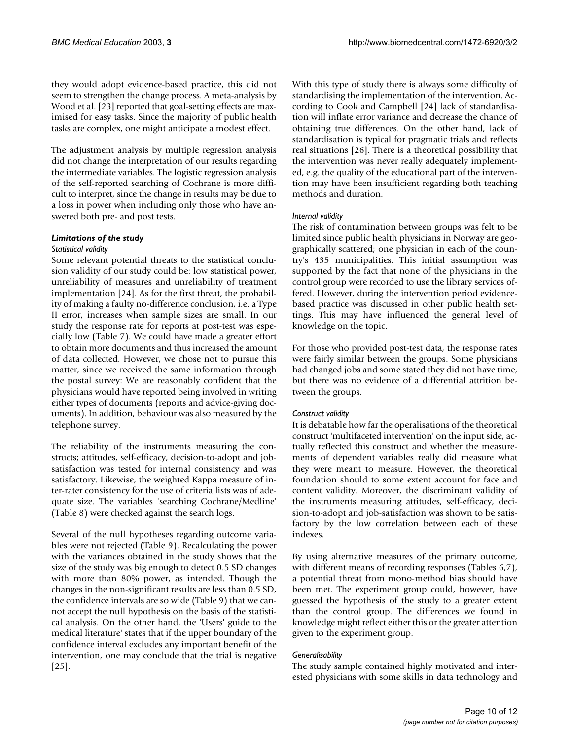they would adopt evidence-based practice, this did not seem to strengthen the change process. A meta-analysis by Wood et al. [23] reported that goal-setting effects are maximised for easy tasks. Since the majority of public health tasks are complex, one might anticipate a modest effect.

The adjustment analysis by multiple regression analysis did not change the interpretation of our results regarding the intermediate variables. The logistic regression analysis of the self-reported searching of Cochrane is more difficult to interpret, since the change in results may be due to a loss in power when including only those who have answered both pre- and post tests.

### *Limitations of the study*

### *Statistical validity*

Some relevant potential threats to the statistical conclusion validity of our study could be: low statistical power, unreliability of measures and unreliability of treatment implementation [24]. As for the first threat, the probability of making a faulty no-difference conclusion, i.e. a Type II error, increases when sample sizes are small. In our study the response rate for reports at post-test was especially low (Table [7\)](#page-7-2). We could have made a greater effort to obtain more documents and thus increased the amount of data collected. However, we chose not to pursue this matter, since we received the same information through the postal survey: We are reasonably confident that the physicians would have reported being involved in writing either types of documents (reports and advice-giving documents). In addition, behaviour was also measured by the telephone survey.

The reliability of the instruments measuring the constructs; attitudes, self-efficacy, decision-to-adopt and jobsatisfaction was tested for internal consistency and was satisfactory. Likewise, the weighted Kappa measure of inter-rater consistency for the use of criteria lists was of adequate size. The variables 'searching Cochrane/Medline' (Table [8\)](#page-8-0) were checked against the search logs.

Several of the null hypotheses regarding outcome variables were not rejected (Table [9](#page-8-1)). Recalculating the power with the variances obtained in the study shows that the size of the study was big enough to detect 0.5 SD changes with more than 80% power, as intended. Though the changes in the non-significant results are less than 0.5 SD, the confidence intervals are so wide (Table [9\)](#page-8-1) that we cannot accept the null hypothesis on the basis of the statistical analysis. On the other hand, the 'Users' guide to the medical literature' states that if the upper boundary of the confidence interval excludes any important benefit of the intervention, one may conclude that the trial is negative [25].

With this type of study there is always some difficulty of standardising the implementation of the intervention. According to Cook and Campbell [24] lack of standardisation will inflate error variance and decrease the chance of obtaining true differences. On the other hand, lack of standardisation is typical for pragmatic trials and reflects real situations [26]. There is a theoretical possibility that the intervention was never really adequately implemented, e.g. the quality of the educational part of the intervention may have been insufficient regarding both teaching methods and duration.

### *Internal validity*

The risk of contamination between groups was felt to be limited since public health physicians in Norway are geographically scattered; one physician in each of the country's 435 municipalities. This initial assumption was supported by the fact that none of the physicians in the control group were recorded to use the library services offered. However, during the intervention period evidencebased practice was discussed in other public health settings. This may have influenced the general level of knowledge on the topic.

For those who provided post-test data, the response rates were fairly similar between the groups. Some physicians had changed jobs and some stated they did not have time, but there was no evidence of a differential attrition between the groups.

#### *Construct validity*

It is debatable how far the operalisations of the theoretical construct 'multifaceted intervention' on the input side, actually reflected this construct and whether the measurements of dependent variables really did measure what they were meant to measure. However, the theoretical foundation should to some extent account for face and content validity. Moreover, the discriminant validity of the instruments measuring attitudes, self-efficacy, decision-to-adopt and job-satisfaction was shown to be satisfactory by the low correlation between each of these indexes.

By using alternative measures of the primary outcome, with different means of recording responses (Tables [6,](#page-7-1)[7\)](#page-7-2), a potential threat from mono-method bias should have been met. The experiment group could, however, have guessed the hypothesis of the study to a greater extent than the control group. The differences we found in knowledge might reflect either this or the greater attention given to the experiment group.

### *Generalisability*

The study sample contained highly motivated and interested physicians with some skills in data technology and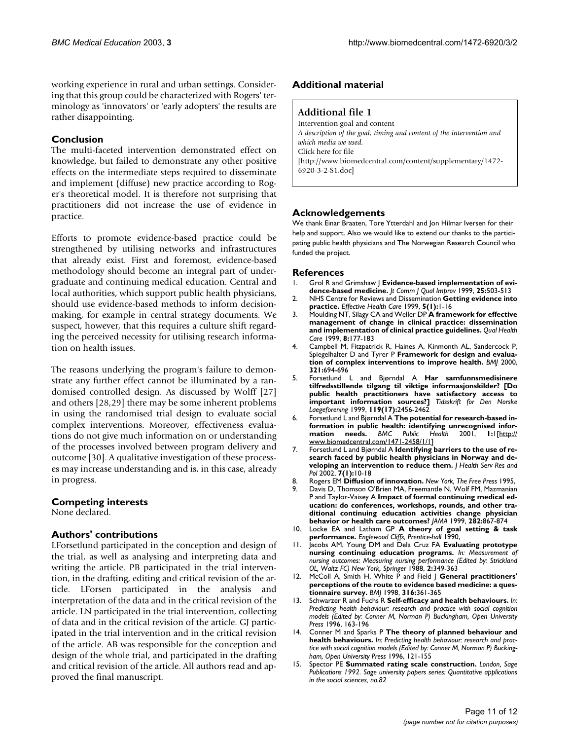working experience in rural and urban settings. Considering that this group could be characterized with Rogers' terminology as 'innovators' or 'early adopters' the results are rather disappointing.

### **Conclusion**

The multi-faceted intervention demonstrated effect on knowledge, but failed to demonstrate any other positive effects on the intermediate steps required to disseminate and implement (diffuse) new practice according to Roger's theoretical model. It is therefore not surprising that practitioners did not increase the use of evidence in practice.

Efforts to promote evidence-based practice could be strengthened by utilising networks and infrastructures that already exist. First and foremost, evidence-based methodology should become an integral part of undergraduate and continuing medical education. Central and local authorities, which support public health physicians, should use evidence-based methods to inform decisionmaking, for example in central strategy documents. We suspect, however, that this requires a culture shift regarding the perceived necessity for utilising research information on health issues.

The reasons underlying the program's failure to demonstrate any further effect cannot be illuminated by a randomised controlled design. As discussed by Wolff [27] and others [28,29] there may be some inherent problems in using the randomised trial design to evaluate social complex interventions. Moreover, effectiveness evaluations do not give much information on or understanding of the processes involved between program delivery and outcome [30]. A qualitative investigation of these processes may increase understanding and is, in this case, already in progress.

### **Competing interests**

None declared.

### **Authors' contributions**

LForsetlund participated in the conception and design of the trial, as well as analysing and interpreting data and writing the article. PB participated in the trial intervention, in the drafting, editing and critical revision of the article. LForsen participated in the analysis and interpretation of the data and in the critical revision of the article. LN participated in the trial intervention, collecting of data and in the critical revision of the article. GJ participated in the trial intervention and in the critical revision of the article. AB was responsible for the conception and design of the whole trial, and participated in the drafting and critical revision of the article. All authors read and approved the final manuscript.

### **Additional material**

#### **Additional file 1**

Intervention goal and content *A description of the goal, timing and content of the intervention and which media we used.* Click here for file [\[http://www.biomedcentral.com/content/supplementary/1472-](http://www.biomedcentral.com/content/supplementary/1472-6920-3-2-S1.doc) 6920-3-2-S1.doc]

### **Acknowledgements**

We thank Einar Braaten, Tore Ytterdahl and Jon Hilmar Iversen for their help and support. Also we would like to extend our thanks to the participating public health physicians and The Norwegian Research Council who funded the project.

#### **References**

- 1. Grol R and Grimshaw J **[Evidence-based implementation of evi](http://www.ncbi.nlm.nih.gov/entrez/query.fcgi?cmd=Retrieve&db=PubMed&dopt=Abstract&list_uids=10522231)[dence-based medicine.](http://www.ncbi.nlm.nih.gov/entrez/query.fcgi?cmd=Retrieve&db=PubMed&dopt=Abstract&list_uids=10522231)** *Jt Comm J Qual Improv* 1999, **25:**503-513
- 2. NHS Centre for Reviews and Dissemination **Getting evidence into practice.** *Effective Health Care* 1999, **5(1):**1-16
- 3. Moulding NT, Silagy CA and Weller DP **[A framework for effective](http://www.ncbi.nlm.nih.gov/entrez/query.fcgi?cmd=Retrieve&db=PubMed&dopt=Abstract&list_uids=10847875) [management of change in clinical practice: dissemination](http://www.ncbi.nlm.nih.gov/entrez/query.fcgi?cmd=Retrieve&db=PubMed&dopt=Abstract&list_uids=10847875) [and implementation of clinical practice guidelines.](http://www.ncbi.nlm.nih.gov/entrez/query.fcgi?cmd=Retrieve&db=PubMed&dopt=Abstract&list_uids=10847875)** *Qual Health Care* 1999, **8:**177-183
- 4. Campbell M, Fitzpatrick R, Haines A, Kinmonth AL, Sandercock P, Spiegelhalter D and Tyrer P **[Framework for design and evalua](http://www.ncbi.nlm.nih.gov/entrez/query.fcgi?cmd=Retrieve&db=PubMed&dopt=Abstract&list_uids=10987780)[tion of complex interventions to improve health.](http://www.ncbi.nlm.nih.gov/entrez/query.fcgi?cmd=Retrieve&db=PubMed&dopt=Abstract&list_uids=10987780)** *BMJ* 2000, **321:**694-696
- 5. Forsetlund L and Bjørndal A **[Har samfunnsmedisinere](http://www.ncbi.nlm.nih.gov/entrez/query.fcgi?cmd=Retrieve&db=PubMed&dopt=Abstract&list_uids=10425895) [tilfredsstillende tilgang til viktige informasjonskilder? \[Do](http://www.ncbi.nlm.nih.gov/entrez/query.fcgi?cmd=Retrieve&db=PubMed&dopt=Abstract&list_uids=10425895) public health practitioners have satisfactory access to [important information sources?\]](http://www.ncbi.nlm.nih.gov/entrez/query.fcgi?cmd=Retrieve&db=PubMed&dopt=Abstract&list_uids=10425895)** *Tidsskrift for Den Norske Laegeforening* 1999, **119(17):**2456-2462
- 6. Forsetlund L and Bjørndal A **[The potential for research-based in](http://www.ncbi.nlm.nih.gov/entrez/query.fcgi?cmd=Retrieve&db=PubMed&dopt=Abstract&list_uids=29105)formation in public health: identifying unrecognised infor-<br>mation needs.** BMC Public Health 2001, 1:1[http:// **[mation needs.](http://www.ncbi.nlm.nih.gov/entrez/query.fcgi?cmd=Retrieve&db=PubMed&dopt=Abstract&list_uids=29105)** *BMC Public Health* 2001, **1:**1[\[http://](http://www.biomedcentral.com/1471-2458/1/1) [www.biomedcentral.com/1471-2458/1/1\]](http://www.biomedcentral.com/1471-2458/1/1)
- 7. Forsetlund L and Bjørndal A **Identifying barriers to the use of research faced by public health physicians in Norway and developing an intervention to reduce them.** *J Health Serv Res and Pol* 2002, **7(1):**10-18
- 8. Rogers EM **Diffusion of innovation.** *New York, The Free Press* 1995,
- Davis D, Thomson O'Brien MA, Freemantle N, Wolf FM, Mazmanian P and Taylor-Vaisey A **[Impact of formal continuing medical ed](http://www.ncbi.nlm.nih.gov/entrez/query.fcgi?cmd=Retrieve&db=PubMed&dopt=Abstract&list_uids=10478694)[ucation: do conferences, workshops, rounds, and other tra](http://www.ncbi.nlm.nih.gov/entrez/query.fcgi?cmd=Retrieve&db=PubMed&dopt=Abstract&list_uids=10478694)ditional continuing education activities change physician [behavior or health care outcomes?](http://www.ncbi.nlm.nih.gov/entrez/query.fcgi?cmd=Retrieve&db=PubMed&dopt=Abstract&list_uids=10478694)** *JAMA* 1999, **282:**867-874
- 10. Locke EA and Latham GP **A theory of goal setting & task performance.** *Englewood Cliffs, Prentice-hall* 1990,
- 11. Jacobs AM, Young DM and Dela Cruz FA **Evaluating prototype nursing continuing education programs.** *In: Measurement of nursing outcomes: Measuring nursing performance (Edited by: Strickland OL, Waltz FC) New York, Springer* 1988, **2:**349-363
- 12. McColl A, Smith H, White P and Field J **[General practitioners'](http://www.ncbi.nlm.nih.gov/entrez/query.fcgi?cmd=Retrieve&db=PubMed&dopt=Abstract&list_uids=9487174) [perceptions of the route to evidence based medicine: a ques](http://www.ncbi.nlm.nih.gov/entrez/query.fcgi?cmd=Retrieve&db=PubMed&dopt=Abstract&list_uids=9487174)[tionnaire survey.](http://www.ncbi.nlm.nih.gov/entrez/query.fcgi?cmd=Retrieve&db=PubMed&dopt=Abstract&list_uids=9487174)** *BMJ* 1998, **316:**361-365
- 13. Schwarzer R and Fuchs R **Self-efficacy and health behaviours.** *In: Predicting health behaviour: research and practice with social cognition models (Edited by: Conner M, Norman P) Buckingham, Open University Press* 1996, 163-196
- 14. Conner M and Sparks P **The theory of planned behaviour and health behaviours.** *In: Predicting health behaviour: research and practice with social cognition models (Edited by: Conner M, Norman P) Buckingham, Open University Press* 1996, 121-155
- 15. Spector PE **Summated rating scale construction.** *London, Sage Publications 1992. Sage university papers series: Quantitative applications in the social sciences, no.82*